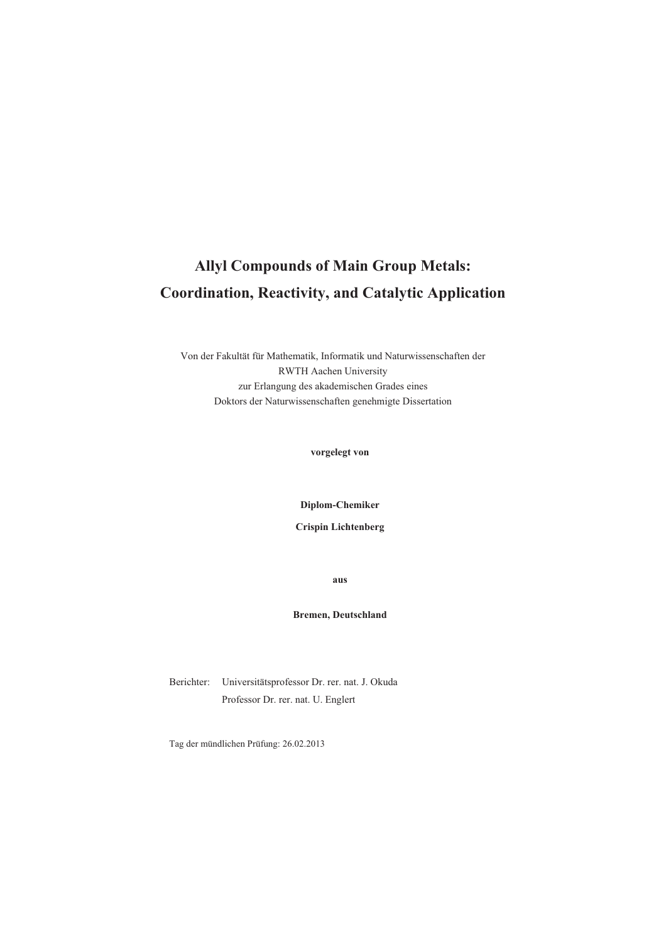# **Allyl Compounds of Main Group Metals: Coordination, Reactivity, and Catalytic Application**

Von der Fakultät für Mathematik, Informatik und Naturwissenschaften der RWTH Aachen University zur Erlangung des akademischen Grades eines Doktors der Naturwissenschaften genehmigte Dissertation

**vorgelegt von** 

**Diplom-Chemiker** 

**Crispin Lichtenberg** 

**aus** 

#### **Bremen, Deutschland**

Berichter: Universitätsprofessor Dr. rer. nat. J. Okuda Professor Dr. rer. nat. U. Englert

Tag der mündlichen Prüfung: 26.02.2013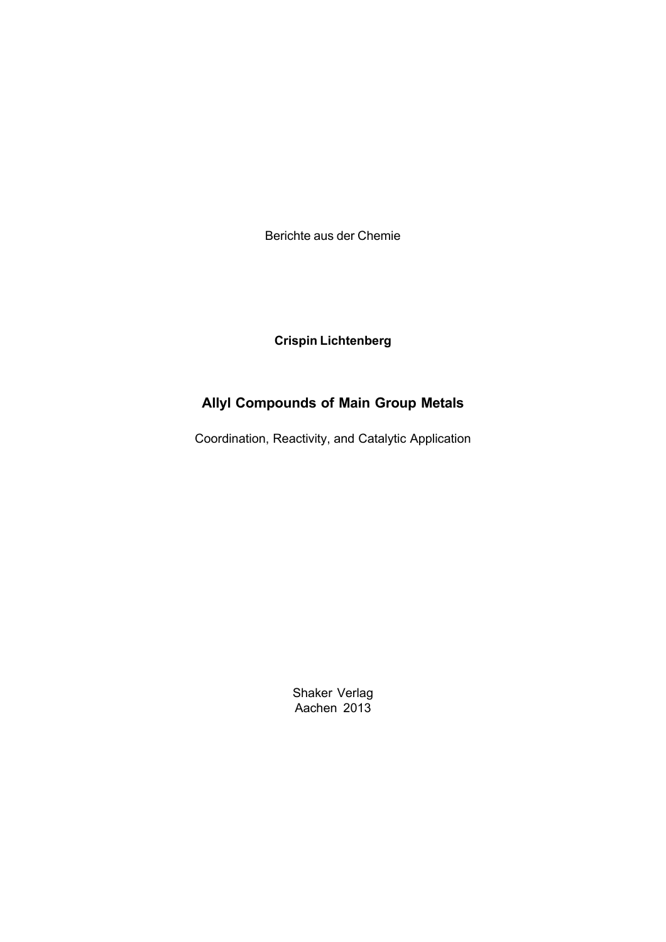Berichte aus der Chemie

**Crispin Lichtenberg**

# **Allyl Compounds of Main Group Metals**

Coordination, Reactivity, and Catalytic Application

Shaker Verlag Aachen 2013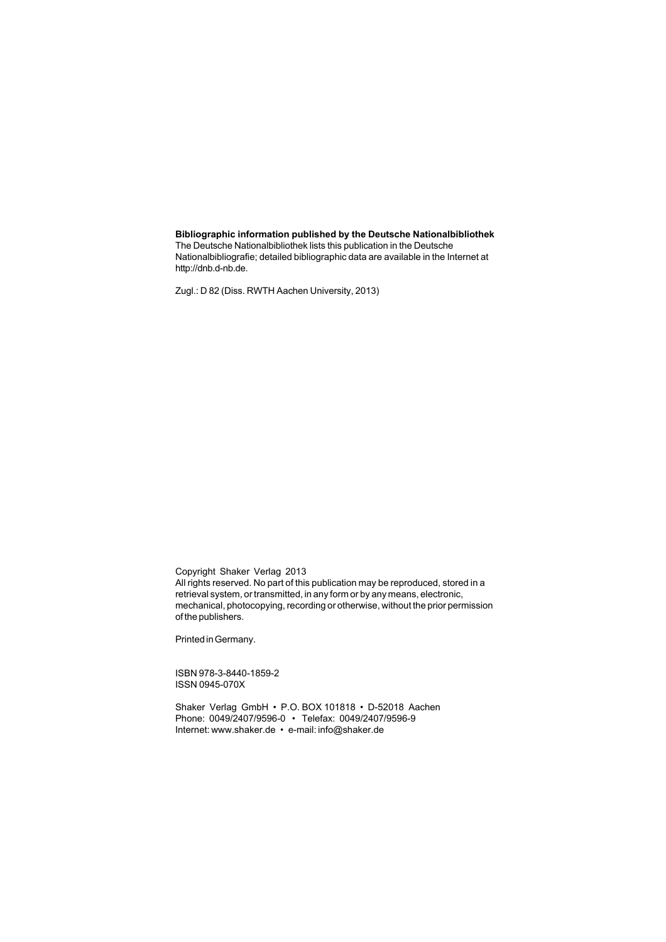#### **Bibliographic information published by the Deutsche Nationalbibliothek**

The Deutsche Nationalbibliothek lists this publication in the Deutsche Nationalbibliografie; detailed bibliographic data are available in the Internet at http://dnb.d-nb.de.

Zugl.: D 82 (Diss. RWTH Aachen University, 2013)

Copyright Shaker Verlag 2013 All rights reserved. No part of this publication may be reproduced, stored in a retrieval system, or transmitted, in any form or by any means, electronic, mechanical, photocopying, recording or otherwise, without the prior permission of the publishers.

Printed in Germany.

ISBN 978-3-8440-1859-2 ISSN 0945-070X

Shaker Verlag GmbH • P.O. BOX 101818 • D-52018 Aachen Phone: 0049/2407/9596-0 • Telefax: 0049/2407/9596-9 Internet: www.shaker.de • e-mail: info@shaker.de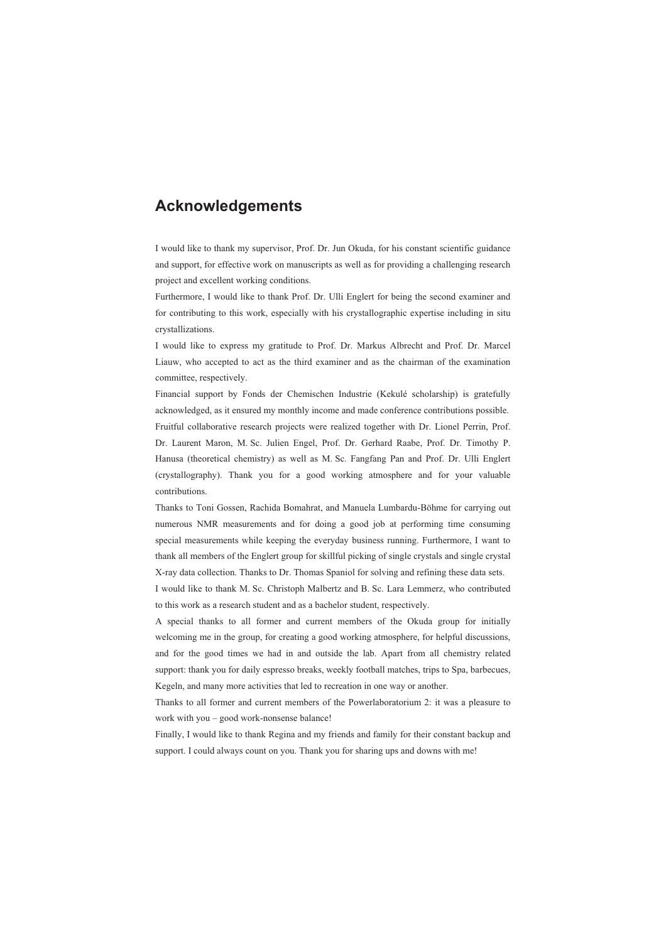## **Acknowledgements**

I would like to thank my supervisor, Prof. Dr. Jun Okuda, for his constant scientific guidance and support, for effective work on manuscripts as well as for providing a challenging research project and excellent working conditions.

Furthermore, I would like to thank Prof. Dr. Ulli Englert for being the second examiner and for contributing to this work, especially with his crystallographic expertise including in situ crystallizations.

I would like to express my gratitude to Prof. Dr. Markus Albrecht and Prof. Dr. Marcel Liauw, who accepted to act as the third examiner and as the chairman of the examination committee, respectively.

Financial support by Fonds der Chemischen Industrie (Kekulé scholarship) is gratefully acknowledged, as it ensured my monthly income and made conference contributions possible. Fruitful collaborative research projects were realized together with Dr. Lionel Perrin, Prof. Dr. Laurent Maron, M. Sc. Julien Engel, Prof. Dr. Gerhard Raabe, Prof. Dr. Timothy P. Hanusa (theoretical chemistry) as well as M. Sc. Fangfang Pan and Prof. Dr. Ulli Englert (crystallography). Thank you for a good working atmosphere and for your valuable contributions.

Thanks to Toni Gossen, Rachida Bomahrat, and Manuela Lumbardu-Böhme for carrying out numerous NMR measurements and for doing a good job at performing time consuming special measurements while keeping the everyday business running. Furthermore, I want to thank all members of the Englert group for skillful picking of single crystals and single crystal X-ray data collection. Thanks to Dr. Thomas Spaniol for solving and refining these data sets.

I would like to thank M. Sc. Christoph Malbertz and B. Sc. Lara Lemmerz, who contributed to this work as a research student and as a bachelor student, respectively.

A special thanks to all former and current members of the Okuda group for initially welcoming me in the group, for creating a good working atmosphere, for helpful discussions, and for the good times we had in and outside the lab. Apart from all chemistry related support: thank you for daily espresso breaks, weekly football matches, trips to Spa, barbecues, Kegeln, and many more activities that led to recreation in one way or another.

Thanks to all former and current members of the Powerlaboratorium 2: it was a pleasure to work with you – good work-nonsense balance!

Finally, I would like to thank Regina and my friends and family for their constant backup and support. I could always count on you. Thank you for sharing ups and downs with me!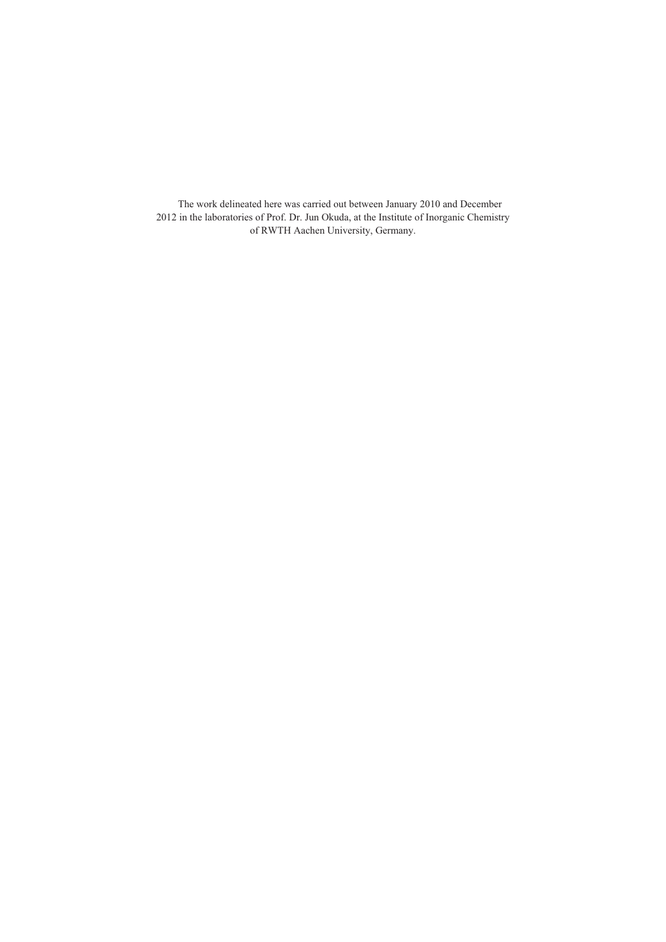The work delineated here was carried out between January 2010 and December 2012 in the laboratories of Prof. Dr. Jun Okuda, at the Institute of Inorganic Chemistry of RWTH Aachen University, Germany.